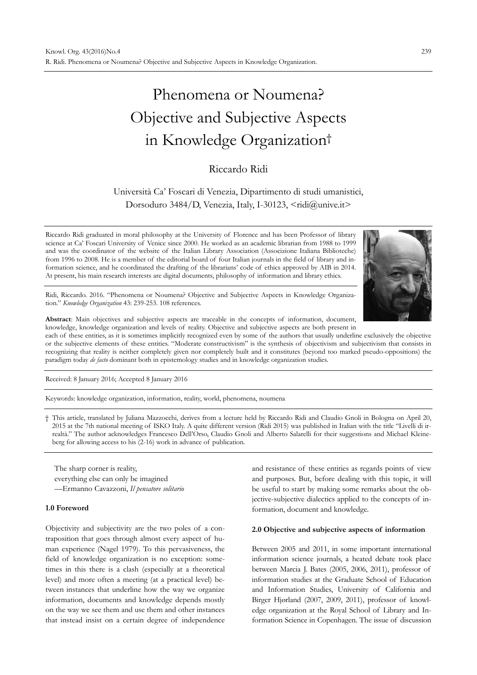# Phenomena or Noumena? Objective and Subjective Aspects in Knowledge Organization†

# Riccardo Ridi

# Università Ca' Foscari di Venezia, Dipartimento di studi umanistici, Dorsoduro 3484/D, Venezia, Italy, I-30123,  $\leq$ ridi $\omega$ unive.it $\geq$

Riccardo Ridi graduated in moral philosophy at the University of Florence and has been Professor of library science at Ca' Foscari University of Venice since 2000. He worked as an academic librarian from 1988 to 1999 and was the coordinator of the website of the Italian Library Association (Associzione Italiana Biblioteche) from 1996 to 2008. He is a member of the editorial board of four Italian journals in the field of library and information science, and he coordinated the drafting of the librarians' code of ethics approved by AIB in 2014. At present, his main research interests are digital documents, philosophy of information and library ethics.



Ridi, Riccardo. 2016. "Phenomena or Noumena? Objective and Subjective Aspects in Knowledge Organization." *Knowledge Organization* 43: 239-253. 108 references.

**Abstract**: Main objectives and subjective aspects are traceable in the concepts of information, document, knowledge, knowledge organization and levels of reality. Objective and subjective aspects are both present in

each of these entities, as it is sometimes implicitly recognized even by some of the authors that usually underline exclusively the objective or the subjective elements of these entities. "Moderate constructivism" is the synthesis of objectivism and subjectivism that consists in recognizing that reality is neither completely given nor completely built and it constitutes (beyond too marked pseudo-oppositions) the paradigm today *de facto* dominant both in epistemology studies and in knowledge organization studies.

Received: 8 January 2016; Accepted 8 January 2016

Keywords: knowledge organization, information, reality, world, phenomena, noumena

† This article, translated by Juliana Mazzocchi, derives from a lecture held by Riccardo Ridi and Claudio Gnoli in Bologna on April 20, 2015 at the 7th national meeting of ISKO Italy. A quite different version (Ridi 2015) was published in Italian with the title "Livelli di irrealtà." The author acknowledges Francesco Dell'Orso, Claudio Gnoli and Alberto Salarelli for their suggestions and Michael Kleineberg for allowing access to his (2-16) work in advance of publication.

The sharp corner is reality, everything else can only be imagined —Ermanno Cavazzoni, *Il pensatore solitario*

# **1.0 Foreword**

Objectivity and subjectivity are the two poles of a contraposition that goes through almost every aspect of human experience (Nagel 1979). To this pervasiveness, the field of knowledge organization is no exception: sometimes in this there is a clash (especially at a theoretical level) and more often a meeting (at a practical level) between instances that underline how the way we organize information, documents and knowledge depends mostly on the way we see them and use them and other instances that instead insist on a certain degree of independence

and resistance of these entities as regards points of view and purposes. But, before dealing with this topic, it will be useful to start by making some remarks about the objective-subjective dialectics applied to the concepts of information, document and knowledge.

# **2.0 Objective and subjective aspects of information**

Between 2005 and 2011, in some important international information science journals, a heated debate took place between Marcia J. Bates (2005, 2006, 2011), professor of information studies at the Graduate School of Education and Information Studies, University of California and Birger Hjørland (2007, 2009, 2011), professor of knowledge organization at the Royal School of Library and Information Science in Copenhagen. The issue of discussion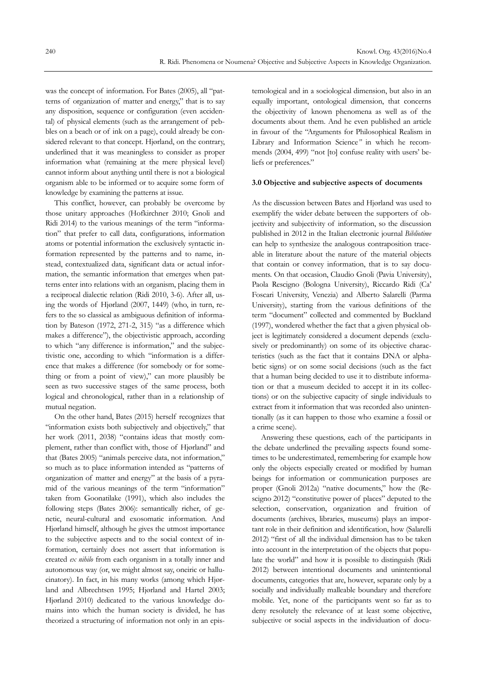was the concept of information. For Bates (2005), all "patterns of organization of matter and energy," that is to say any disposition, sequence or configuration (even accidental) of physical elements (such as the arrangement of pebbles on a beach or of ink on a page), could already be considered relevant to that concept. Hjørland, on the contrary, underlined that it was meaningless to consider as proper information what (remaining at the mere physical level) cannot inform about anything until there is not a biological organism able to be informed or to acquire some form of knowledge by examining the patterns at issue.

This conflict, however, can probably be overcome by those unitary approaches (Hofkirchner 2010; Gnoli and Ridi 2014) to the various meanings of the term "information" that prefer to call data, configurations, information atoms or potential information the exclusively syntactic information represented by the patterns and to name, instead, contextualized data, significant data or actual information, the semantic information that emerges when patterns enter into relations with an organism, placing them in a reciprocal dialectic relation (Ridi 2010, 3-6). After all, using the words of Hjørland (2007, 1449) (who, in turn, refers to the so classical as ambiguous definition of information by Bateson (1972, 271-2, 315) "as a difference which makes a difference"), the objectivistic approach, according to which "any difference is information," and the subjectivistic one, according to which "information is a difference that makes a difference (for somebody or for something or from a point of view)," can more plausibly be seen as two successive stages of the same process, both logical and chronological, rather than in a relationship of mutual negation.

On the other hand, Bates (2015) herself recognizes that "information exists both subjectively and objectively," that her work (2011, 2038) "contains ideas that mostly complement, rather than conflict with, those of Hjørland" and that (Bates 2005) "animals perceive data, not information," so much as to place information intended as "patterns of organization of matter and energy" at the basis of a pyramid of the various meanings of the term "information" taken from Goonatilake (1991), which also includes the following steps (Bates 2006): semantically richer, of genetic, neural-cultural and exosomatic information. And Hjørland himself, although he gives the utmost importance to the subjective aspects and to the social context of information, certainly does not assert that information is created *ex nihilo* from each organism in a totally inner and autonomous way (or, we might almost say, oneiric or hallucinatory). In fact, in his many works (among which Hjørland and Albrechtsen 1995; Hjørland and Hartel 2003; Hjørland 2010) dedicated to the various knowledge domains into which the human society is divided, he has theorized a structuring of information not only in an epistemological and in a sociological dimension, but also in an equally important, ontological dimension, that concerns the objectivity of known phenomena as well as of the documents about them. And he even published an article in favour of the "Arguments for Philosophical Realism in Library and Information Science*"* in which he recommends (2004, 499) "not [to] confuse reality with users' beliefs or preferences."

# **3.0 Objective and subjective aspects of documents**

As the discussion between Bates and Hjørland was used to exemplify the wider debate between the supporters of objectivity and subjectivity of information, so the discussion published in 2012 in the Italian electronic journal *Bibliotime* can help to synthesize the analogous contraposition traceable in literature about the nature of the material objects that contain or convey information, that is to say documents. On that occasion, Claudio Gnoli (Pavia University), Paola Rescigno (Bologna University), Riccardo Ridi (Ca' Foscari University, Venezia) and Alberto Salarelli (Parma University), starting from the various definitions of the term "document" collected and commented by Buckland (1997), wondered whether the fact that a given physical object is legitimately considered a document depends (exclusively or predominantly) on some of its objective characteristics (such as the fact that it contains DNA or alphabetic signs) or on some social decisions (such as the fact that a human being decided to use it to distribute information or that a museum decided to accept it in its collections) or on the subjective capacity of single individuals to extract from it information that was recorded also unintentionally (as it can happen to those who examine a fossil or a crime scene).

Answering these questions, each of the participants in the debate underlined the prevailing aspects found sometimes to be underestimated, remembering for example how only the objects especially created or modified by human beings for information or communication purposes are proper (Gnoli 2012a) "native documents," how the (Rescigno 2012) "constitutive power of places" deputed to the selection, conservation, organization and fruition of documents (archives, libraries, museums) plays an important role in their definition and identification, how (Salarelli 2012) "first of all the individual dimension has to be taken into account in the interpretation of the objects that populate the world" and how it is possible to distinguish (Ridi 2012) between intentional documents and unintentional documents, categories that are, however, separate only by a socially and individually malleable boundary and therefore mobile. Yet, none of the participants went so far as to deny resolutely the relevance of at least some objective, subjective or social aspects in the individuation of docu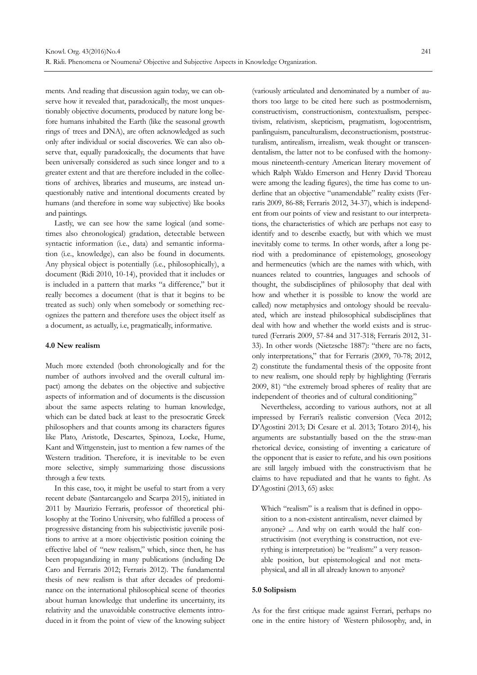ments. And reading that discussion again today, we can observe how it revealed that, paradoxically, the most unquestionably objective documents, produced by nature long before humans inhabited the Earth (like the seasonal growth rings of trees and DNA), are often acknowledged as such only after individual or social discoveries. We can also observe that, equally paradoxically, the documents that have been universally considered as such since longer and to a greater extent and that are therefore included in the collections of archives, libraries and museums, are instead unquestionably native and intentional documents created by humans (and therefore in some way subjective) like books and paintings.

Lastly, we can see how the same logical (and sometimes also chronological) gradation, detectable between syntactic information (i.e., data) and semantic information (i.e., knowledge), can also be found in documents. Any physical object is potentially (i.e., philosophically), a document (Ridi 2010, 10-14), provided that it includes or is included in a pattern that marks "a difference," but it really becomes a document (that is that it begins to be treated as such) only when somebody or something recognizes the pattern and therefore uses the object itself as a document, as actually, i.e, pragmatically, informative.

# **4.0 New realism**

Much more extended (both chronologically and for the number of authors involved and the overall cultural impact) among the debates on the objective and subjective aspects of information and of documents is the discussion about the same aspects relating to human knowledge, which can be dated back at least to the presocratic Greek philosophers and that counts among its characters figures like Plato, Aristotle, Descartes, Spinoza, Locke, Hume, Kant and Wittgenstein, just to mention a few names of the Western tradition. Therefore, it is inevitable to be even more selective, simply summarizing those discussions through a few texts.

In this case, too, it might be useful to start from a very recent debate (Santarcangelo and Scarpa 2015), initiated in 2011 by Maurizio Ferraris, professor of theoretical philosophy at the Torino University, who fulfilled a process of progressive distancing from his subjectivistic juvenile positions to arrive at a more objectivistic position coining the effective label of "new realism," which, since then, he has been propagandizing in many publications (including De Caro and Ferraris 2012; Ferraris 2012). The fundamental thesis of new realism is that after decades of predominance on the international philosophical scene of theories about human knowledge that underline its uncertainty, its relativity and the unavoidable constructive elements introduced in it from the point of view of the knowing subject (variously articulated and denominated by a number of authors too large to be cited here such as postmodernism, constructivism, constructionism, contextualism, perspectivism, relativism, skepticism, pragmatism, logocentrism, panlinguism, panculturalism, deconstructionism, poststructuralism, antirealism, irrealism, weak thought or transcendentalism, the latter not to be confused with the homonymous nineteenth-century American literary movement of which Ralph Waldo Emerson and Henry David Thoreau were among the leading figures), the time has come to underline that an objective "unamendable" reality exists (Ferraris 2009, 86-88; Ferraris 2012, 34-37), which is independent from our points of view and resistant to our interpretations, the characteristics of which are perhaps not easy to identify and to describe exactly, but with which we must inevitably come to terms. In other words, after a long period with a predominance of epistemology, gnoseology and hermeneutics (which are the names with which, with nuances related to countries, languages and schools of thought, the subdisciplines of philosophy that deal with how and whether it is possible to know the world are called) now metaphysics and ontology should be reevaluated, which are instead philosophical subdisciplines that deal with how and whether the world exists and is structured (Ferraris 2009, 57-84 and 317-318; Ferraris 2012, 31- 33). In other words (Nietzsche 1887): "there are no facts, only interpretations," that for Ferraris (2009, 70-78; 2012, 2) constitute the fundamental thesis of the opposite front to new realism, one should reply by highlighting (Ferraris 2009, 81) "the extremely broad spheres of reality that are independent of theories and of cultural conditioning."

Nevertheless, according to various authors, not at all impressed by Ferrari's realistic conversion (Veca 2012; D'Agostini 2013; Di Cesare et al. 2013; Totaro 2014), his arguments are substantially based on the the straw-man rhetorical device, consisting of inventing a caricature of the opponent that is easier to refute, and his own positions are still largely imbued with the constructivism that he claims to have repudiated and that he wants to fight. As D'Agostini (2013, 65) asks:

Which "realism" is a realism that is defined in opposition to a non-existent antirealism, never claimed by anyone? ... And why on earth would the half constructivisim (not everything is construction, not everything is interpretation) be "realism:" a very reasonable position, but epistemological and not metaphysical, and all in all already known to anyone?

#### **5.0 Solipsism**

As for the first critique made against Ferrari, perhaps no one in the entire history of Western philosophy, and, in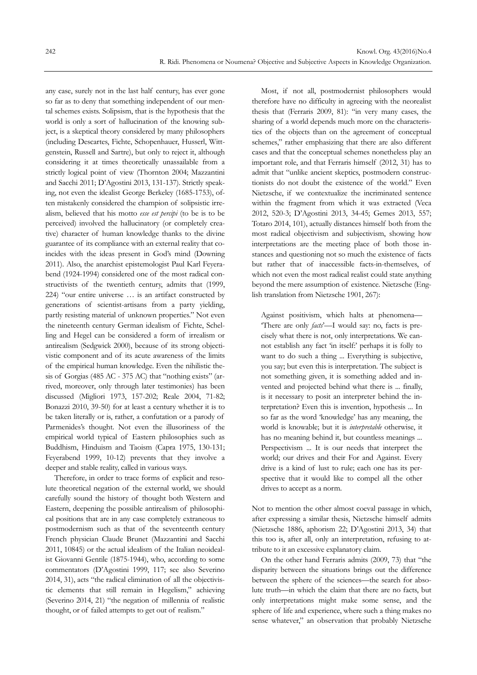any case, surely not in the last half century, has ever gone so far as to deny that something independent of our mental schemes exists. Solipsism, that is the hypothesis that the world is only a sort of hallucination of the knowing subject, is a skeptical theory considered by many philosophers (including Descartes, Fichte, Schopenhauer, Husserl, Wittgenstein, Russell and Sartre), but only to reject it, although considering it at times theoretically unassailable from a strictly logical point of view (Thornton 2004; Mazzantini and Sacchi 2011; D'Agostini 2013, 131-137). Strictly speaking, not even the idealist George Berkeley (1685-1753), often mistakenly considered the champion of solipsistic irrealism, believed that his motto *esse est percipi* (to be is to be perceived) involved the hallucinatory (or completely creative) character of human knowledge thanks to the divine guarantee of its compliance with an external reality that coincides with the ideas present in God's mind (Downing 2011). Also, the anarchist epistemologist Paul Karl Feyerabend (1924-1994) considered one of the most radical constructivists of the twentieth century, admits that (1999, 224) "our entire universe … is an artifact constructed by generations of scientist-artisans from a party yielding, partly resisting material of unknown properties." Not even the nineteenth century German idealism of Fichte, Schelling and Hegel can be considered a form of irrealism or antirealism (Sedgwick 2000), because of its strong objectivistic component and of its acute awareness of the limits of the empirical human knowledge. Even the nihilistic thesis of Gorgias (485 AC - 375 AC) that "nothing exists" (arrived, moreover, only through later testimonies) has been discussed (Migliori 1973, 157-202; Reale 2004, 71-82; Bonazzi 2010, 39-50) for at least a century whether it is to be taken literally or is, rather, a confutation or a parody of Parmenides's thought. Not even the illusoriness of the empirical world typical of Eastern philosophies such as Buddhism, Hinduism and Taoism (Capra 1975, 130-131; Feyerabend 1999, 10-12) prevents that they involve a deeper and stable reality, called in various ways.

Therefore, in order to trace forms of explicit and resolute theoretical negation of the external world, we should carefully sound the history of thought both Western and Eastern, deepening the possible antirealism of philosophical positions that are in any case completely extraneous to postmodernism such as that of the seventeenth century French physician Claude Brunet (Mazzantini and Sacchi 2011, 10845) or the actual idealism of the Italian neoidealist Giovanni Gentile (1875-1944), who, according to some commentators (D'Agostini 1999, 117; see also Severino 2014, 31), acts "the radical elimination of all the objectivistic elements that still remain in Hegelism," achieving (Severino 2014, 21) "the negation of millennia of realistic thought, or of failed attempts to get out of realism."

Most, if not all, postmodernist philosophers would therefore have no difficulty in agreeing with the neorealist thesis that (Ferraris 2009, 81): "in very many cases, the sharing of a world depends much more on the characteristics of the objects than on the agreement of conceptual schemes," rather emphasizing that there are also different cases and that the conceptual schemes nonetheless play an important role, and that Ferraris himself (2012, 31) has to admit that "unlike ancient skeptics, postmodern constructionists do not doubt the existence of the world." Even Nietzsche, if we contextualize the incriminated sentence within the fragment from which it was extracted (Veca 2012, 520-3; D'Agostini 2013, 34-45; Gemes 2013, 557; Totaro 2014, 101), actually distances himself both from the most radical objectivism and subjectivism, showing how interpretations are the meeting place of both those instances and questioning not so much the existence of facts but rather that of inaccessible facts-in-themselves, of which not even the most radical realist could state anything beyond the mere assumption of existence. Nietzsche (English translation from Nietzsche 1901, 267):

Against positivism, which halts at phenomena— 'There are only *facts*'—I would say: no, facts is precisely what there is not, only interpretations. We cannot establish any fact 'in itself:' perhaps it is folly to want to do such a thing ... Everything is subjective, you say; but even this is interpretation. The subject is not something given, it is something added and invented and projected behind what there is ... finally, is it necessary to posit an interpreter behind the interpretation? Even this is invention, hypothesis ... In so far as the word 'knowledge' has any meaning, the world is knowable; but it is *interpretable* otherwise, it has no meaning behind it, but countless meanings ... Perspectivism ... It is our needs that interpret the world; our drives and their For and Against. Every drive is a kind of lust to rule; each one has its perspective that it would like to compel all the other drives to accept as a norm.

Not to mention the other almost coeval passage in which, after expressing a similar thesis, Nietzsche himself admits (Nietzsche 1886, aphorism 22; D'Agostini 2013, 34) that this too is, after all, only an interpretation, refusing to attribute to it an excessive explanatory claim.

On the other hand Ferraris admits (2009, 73) that "the disparity between the situations brings out the difference between the sphere of the sciences—the search for absolute truth—in which the claim that there are no facts, but only interpretations might make some sense, and the sphere of life and experience, where such a thing makes no sense whatever," an observation that probably Nietzsche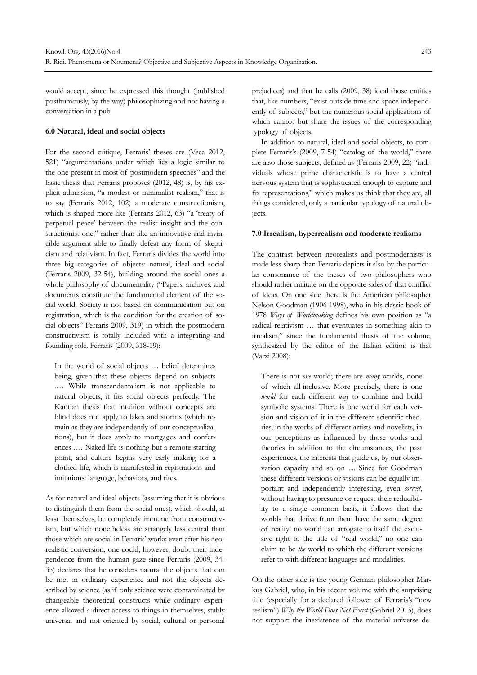would accept, since he expressed this thought (published posthumously, by the way) philosophizing and not having a conversation in a pub.

#### **6.0 Natural, ideal and social objects**

For the second critique, Ferraris' theses are (Veca 2012, 521) "argumentations under which lies a logic similar to the one present in most of postmodern speeches" and the basic thesis that Ferraris proposes (2012, 48) is, by his explicit admission, "a modest or minimalist realism," that is to say (Ferraris 2012, 102) a moderate constructionism, which is shaped more like (Ferraris 2012, 63) "a 'treaty of perpetual peace' between the realist insight and the constructionist one," rather than like an innovative and invincible argument able to finally defeat any form of skepticism and relativism. In fact, Ferraris divides the world into three big categories of objects: natural, ideal and social (Ferraris 2009, 32-54), building around the social ones a whole philosophy of documentality ("Papers, archives, and documents constitute the fundamental element of the social world. Society is not based on communication but on registration, which is the condition for the creation of social objects" Ferraris 2009, 319) in which the postmodern constructivism is totally included with a integrating and founding role. Ferraris (2009, 318-19):

In the world of social objects … belief determines being, given that these objects depend on subjects .… While transcendentalism is not applicable to natural objects, it fits social objects perfectly. The Kantian thesis that intuition without concepts are blind does not apply to lakes and storms (which remain as they are independently of our conceptualizations), but it does apply to mortgages and conferences .… Naked life is nothing but a remote starting point, and culture begins very early making for a clothed life, which is manifested in registrations and imitations: language, behaviors, and rites.

As for natural and ideal objects (assuming that it is obvious to distinguish them from the social ones), which should, at least themselves, be completely immune from constructivism, but which nonetheless are strangely less central than those which are social in Ferraris' works even after his neorealistic conversion, one could, however, doubt their independence from the human gaze since Ferraris (2009, 34- 35) declares that he considers natural the objects that can be met in ordinary experience and not the objects described by science (as if only science were contaminated by changeable theoretical constructs while ordinary experience allowed a direct access to things in themselves, stably universal and not oriented by social, cultural or personal

prejudices) and that he calls (2009, 38) ideal those entities that, like numbers, "exist outside time and space independently of subjects," but the numerous social applications of which cannot but share the issues of the corresponding typology of objects.

In addition to natural, ideal and social objects, to complete Ferraris's (2009, 7-54) "catalog of the world," there are also those subjects, defined as (Ferraris 2009, 22) "individuals whose prime characteristic is to have a central nervous system that is sophisticated enough to capture and fix representations," which makes us think that they are, all things considered, only a particular typology of natural objects.

## **7.0 Irrealism, hyperrealism and moderate realisms**

The contrast between neorealists and postmodernists is made less sharp than Ferraris depicts it also by the particular consonance of the theses of two philosophers who should rather militate on the opposite sides of that conflict of ideas. On one side there is the American philosopher Nelson Goodman (1906-1998), who in his classic book of 1978 *Ways of Worldmaking* defines his own position as "a radical relativism … that eventuates in something akin to irrealism," since the fundamental thesis of the volume, synthesized by the editor of the Italian edition is that (Varzi 2008):

There is not *one* world; there are *many* worlds, none of which all-inclusive. More precisely, there is one *world* for each different *way* to combine and build symbolic systems. There is one world for each version and vision of it in the different scientific theories, in the works of different artists and novelists, in our perceptions as influenced by those works and theories in addition to the circumstances, the past experiences, the interests that guide us, by our observation capacity and so on .... Since for Goodman these different versions or visions can be equally important and independently interesting, even *correct*, without having to presume or request their reducibility to a single common basis, it follows that the worlds that derive from them have the same degree of reality: no world can arrogate to itself the exclusive right to the title of "real world," no one can claim to be *the* world to which the different versions refer to with different languages and modalities.

On the other side is the young German philosopher Markus Gabriel, who, in his recent volume with the surprising title (especially for a declared follower of Ferraris's "new realism") *Why the World Does Not Exist* (Gabriel 2013), does not support the inexistence of the material universe de-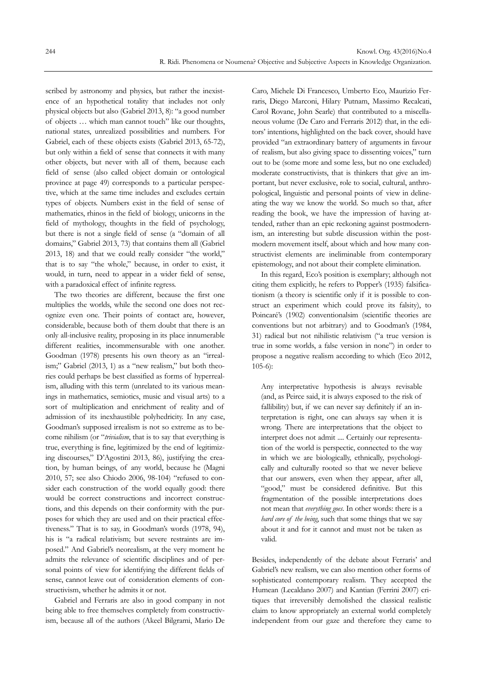scribed by astronomy and physics, but rather the inexistence of an hypothetical totality that includes not only physical objects but also (Gabriel 2013, 8): "a good number of objects … which man cannot touch" like our thoughts, national states, unrealized possibilities and numbers. For Gabriel, each of these objects exists (Gabriel 2013, 65-72), but only within a field of sense that connects it with many other objects, but never with all of them, because each field of sense (also called object domain or ontological province at page 49) corresponds to a particular perspective, which at the same time includes and excludes certain types of objects. Numbers exist in the field of sense of mathematics, rhinos in the field of biology, unicorns in the field of mythology, thoughts in the field of psychology, but there is not a single field of sense (a "domain of all domains," Gabriel 2013, 73) that contains them all (Gabriel 2013, 18) and that we could really consider "the world," that is to say "the whole," because, in order to exist, it would, in turn, need to appear in a wider field of sense, with a paradoxical effect of infinite regress.

The two theories are different, because the first one multiplies the worlds, while the second one does not recognize even one. Their points of contact are, however, considerable, because both of them doubt that there is an only all-inclusive reality, proposing in its place innumerable different realities, incommensurable with one another. Goodman (1978) presents his own theory as an "irrealism;" Gabriel (2013, 1) as a "new realism," but both theories could perhaps be best classified as forms of hyperrealism, alluding with this term (unrelated to its various meanings in mathematics, semiotics, music and visual arts) to a sort of multiplication and enrichment of reality and of admission of its inexhaustible polyhedricity. In any case, Goodman's supposed irrealism is not so extreme as to become nihilism (or "*trivialism*, that is to say that everything is true, everything is fine, legitimized by the end of legitimizing discourses," D'Agostini 2013, 86), justifying the creation, by human beings, of any world, because he (Magni 2010, 57; see also Chiodo 2006, 98-104) "refused to consider each construction of the world equally good: there would be correct constructions and incorrect constructions, and this depends on their conformity with the purposes for which they are used and on their practical effectiveness." That is to say, in Goodman's words (1978, 94), his is "a radical relativism; but severe restraints are imposed." And Gabriel's neorealism, at the very moment he admits the relevance of scientific disciplines and of personal points of view for identifying the different fields of sense, cannot leave out of consideration elements of constructivism, whether he admits it or not.

Gabriel and Ferraris are also in good company in not being able to free themselves completely from constructivism, because all of the authors (Akeel Bilgrami, Mario De Caro, Michele Di Francesco, Umberto Eco, Maurizio Ferraris, Diego Marconi, Hilary Putnam, Massimo Recalcati, Carol Rovane, John Searle) that contributed to a miscellaneous volume (De Caro and Ferraris 2012) that, in the editors' intentions, highlighted on the back cover, should have provided "an extraordinary battery of arguments in favour of realism, but also giving space to dissenting voices," turn out to be (some more and some less, but no one excluded) moderate constructivists, that is thinkers that give an important, but never exclusive, role to social, cultural, anthropological, linguistic and personal points of view in delineating the way we know the world. So much so that, after reading the book, we have the impression of having attended, rather than an epic reckoning against postmodernism, an interesting but subtle discussion within the postmodern movement itself, about which and how many constructivist elements are ineliminable from contemporary epistemology, and not about their complete elimination.

In this regard, Eco's position is exemplary; although not citing them explicitly, he refers to Popper's (1935) falsificationism (a theory is scientific only if it is possible to construct an experiment which could prove its falsity), to Poincaré's (1902) conventionalsim (scientific theories are conventions but not arbitrary) and to Goodman's (1984, 31) radical but not nihilistic relativism ("a true version is true in some worlds, a false version in none") in order to propose a negative realism according to which (Eco 2012, 105-6):

Any interpretative hypothesis is always revisable (and, as Peirce said, it is always exposed to the risk of fallibility) but, if we can never say definitely if an interpretation is right, one can always say when it is wrong. There are interpretations that the object to interpret does not admit .... Certainly our representation of the world is perspectic, connected to the way in which we are biologically, ethnically, psychologically and culturally rooted so that we never believe that our answers, even when they appear, after all, "good," must be considered definitive. But this fragmentation of the possible interpretations does not mean that *everything goes*. In other words: there is a *hard core of the being*, such that some things that we say about it and for it cannot and must not be taken as valid.

Besides, independently of the debate about Ferraris' and Gabriel's new realism, we can also mention other forms of sophisticated contemporary realism. They accepted the Humean (Lecaldano 2007) and Kantian (Ferrini 2007) critiques that irreversibly demolished the classical realistic claim to know appropriately an external world completely independent from our gaze and therefore they came to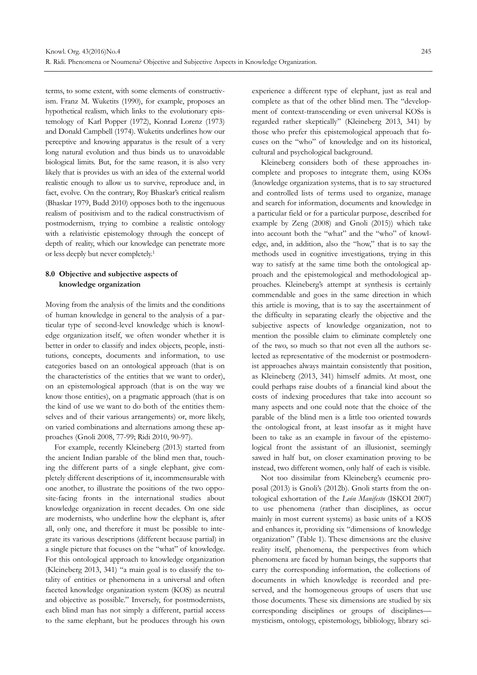terms, to some extent, with some elements of constructivism. Franz M. Wuketits (1990), for example, proposes an hypothetical realism, which links to the evolutionary epistemology of Karl Popper (1972), Konrad Lorenz (1973) and Donald Campbell (1974). Wuketits underlines how our perceptive and knowing apparatus is the result of a very long natural evolution and thus binds us to unavoidable biological limits. But, for the same reason, it is also very likely that is provides us with an idea of the external world realistic enough to allow us to survive, reproduce and, in fact, evolve. On the contrary, Roy Bhaskar's critical realism (Bhaskar 1979, Budd 2010) opposes both to the ingenuous realism of positivism and to the radical constructivism of postmodernism, trying to combine a realistic ontology with a relativistic epistemology through the concept of depth of reality, which our knowledge can penetrate more or less deeply but never completely.1

# **8.0 Objective and subjective aspects of knowledge organization**

Moving from the analysis of the limits and the conditions of human knowledge in general to the analysis of a particular type of second-level knowledge which is knowledge organization itself, we often wonder whether it is better in order to classify and index objects, people, institutions, concepts, documents and information, to use categories based on an ontological approach (that is on the characteristics of the entities that we want to order), on an epistemological approach (that is on the way we know those entities), on a pragmatic approach (that is on the kind of use we want to do both of the entities themselves and of their various arrangements) or, more likely, on varied combinations and alternations among these approaches (Gnoli 2008, 77-99; Ridi 2010, 90-97).

For example, recently Kleineberg (2013) started from the ancient Indian parable of the blind men that, touching the different parts of a single elephant, give completely different descriptions of it, incommensurable with one another, to illustrate the positions of the two opposite-facing fronts in the international studies about knowledge organization in recent decades. On one side are modernists, who underline how the elephant is, after all, only one, and therefore it must be possible to integrate its various descriptions (different because partial) in a single picture that focuses on the "what" of knowledge. For this ontological approach to knowledge organization (Kleineberg 2013, 341) "a main goal is to classify the totality of entities or phenomena in a universal and often faceted knowledge organization system (KOS) as neutral and objective as possible." Inversely, for postmodernists, each blind man has not simply a different, partial access to the same elephant, but he produces through his own

experience a different type of elephant, just as real and complete as that of the other blind men. The "development of context-transcending or even universal KOSs is regarded rather skeptically" (Kleineberg 2013, 341) by those who prefer this epistemological approach that focuses on the "who" of knowledge and on its historical, cultural and psychological background.

Kleineberg considers both of these approaches incomplete and proposes to integrate them, using KOSs (knowledge organization systems, that is to say structured and controlled lists of terms used to organize, manage and search for information, documents and knowledge in a particular field or for a particular purpose, described for example by Zeng (2008) and Gnoli (2015)) which take into account both the "what" and the "who" of knowledge, and, in addition, also the "how," that is to say the methods used in cognitive investigations, trying in this way to satisfy at the same time both the ontological approach and the epistemological and methodological approaches. Kleineberg's attempt at synthesis is certainly commendable and goes in the same direction in which this article is moving, that is to say the ascertainment of the difficulty in separating clearly the objective and the subjective aspects of knowledge organization, not to mention the possible claim to eliminate completely one of the two, so much so that not even all the authors selected as representative of the modernist or postmodernist approaches always maintain consistently that position, as Kleineberg (2013, 341) himself admits. At most, one could perhaps raise doubts of a financial kind about the costs of indexing procedures that take into account so many aspects and one could note that the choice of the parable of the blind men is a little too oriented towards the ontological front, at least insofar as it might have been to take as an example in favour of the epistemological front the assistant of an illusionist, seemingly sawed in half but, on closer examination proving to be instead, two different women, only half of each is visible.

Not too dissimilar from Kleineberg's ecumenic proposal (2013) is Gnoli's (2012b). Gnoli starts from the ontological exhortation of the *León Manifesto* (ISKOI 2007) to use phenomena (rather than disciplines, as occur mainly in most current systems) as basic units of a KOS and enhances it, providing six "dimensions of knowledge organization" (Table 1). These dimensions are the elusive reality itself, phenomena, the perspectives from which phenomena are faced by human beings, the supports that carry the corresponding information, the collections of documents in which knowledge is recorded and preserved, and the homogeneous groups of users that use those documents. These six dimensions are studied by six corresponding disciplines or groups of disciplines mysticism, ontology, epistemology, bibliology, library sci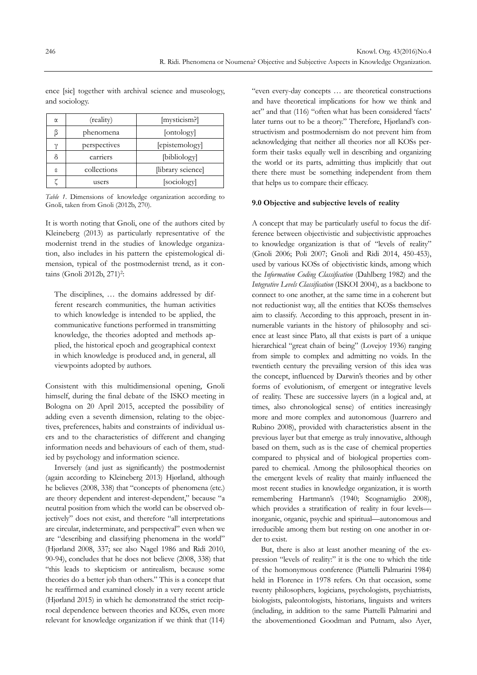$\alpha$  (reality) [mysticism?] β phenomena [ontology]  $\gamma$  | perspectives | [epistemology] δ carriers [bibliology] ε collections [library science]  $\zeta$  users [sociology]

ence [sic] together with archival science and museology, and sociology.

*Table 1*. Dimensions of knowledge organization according to Gnoli, taken from Gnoli (2012b, 270).

It is worth noting that Gnoli, one of the authors cited by Kleineberg (2013) as particularly representative of the modernist trend in the studies of knowledge organization, also includes in his pattern the epistemological dimension, typical of the postmodernist trend, as it contains (Gnoli 2012b, 271)<sup>2</sup>:

The disciplines, … the domains addressed by different research communities, the human activities to which knowledge is intended to be applied, the communicative functions performed in transmitting knowledge, the theories adopted and methods applied, the historical epoch and geographical context in which knowledge is produced and, in general, all viewpoints adopted by authors.

Consistent with this multidimensional opening, Gnoli himself, during the final debate of the ISKO meeting in Bologna on 20 April 2015, accepted the possibility of adding even a seventh dimension, relating to the objectives, preferences, habits and constraints of individual users and to the characteristics of different and changing information needs and behaviours of each of them, studied by psychology and information science.

Inversely (and just as significantly) the postmodernist (again according to Kleineberg 2013) Hjørland, although he believes (2008, 338) that "concepts of phenomena (etc.) are theory dependent and interest-dependent," because "a neutral position from which the world can be observed objectively" does not exist, and therefore "all interpretations are circular, indeterminate, and perspectival" even when we are "describing and classifying phenomena in the world" (Hjørland 2008, 337; see also Nagel 1986 and Ridi 2010, 90-94), concludes that he does not believe (2008, 338) that "this leads to skepticism or antirealism, because some theories do a better job than others." This is a concept that he reaffirmed and examined closely in a very recent article (Hjørland 2015) in which he demonstrated the strict reciprocal dependence between theories and KOSs, even more relevant for knowledge organization if we think that (114)

"even every-day concepts … are theoretical constructions and have theoretical implications for how we think and act" and that (116) "often what has been considered 'facts' later turns out to be a theory." Therefore, Hjørland's constructivism and postmodernism do not prevent him from acknowledging that neither all theories nor all KOSs perform their tasks equally well in describing and organizing the world or its parts, admitting thus implicitly that out there there must be something independent from them that helps us to compare their efficacy.

#### **9.0 Objective and subjective levels of reality**

A concept that may be particularly useful to focus the difference between objectivistic and subjectivistic approaches to knowledge organization is that of "levels of reality" (Gnoli 2006; Poli 2007; Gnoli and Ridi 2014, 450-453), used by various KOSs of objectivistic kinds, among which the *Information Coding Classification* (Dahlberg 1982) and the *Integrative Levels Classification* (ISKOI 2004), as a backbone to connect to one another, at the same time in a coherent but not reductionist way, all the entities that KOSs themselves aim to classify. According to this approach, present in innumerable variants in the history of philosophy and science at least since Plato, all that exists is part of a unique hierarchical "great chain of being" (Lovejoy 1936) ranging from simple to complex and admitting no voids. In the twentieth century the prevailing version of this idea was the concept, influenced by Darwin's theories and by other forms of evolutionism, of emergent or integrative levels of reality. These are successive layers (in a logical and, at times, also chronological sense) of entities increasingly more and more complex and autonomous (Juarrero and Rubino 2008), provided with characteristics absent in the previous layer but that emerge as truly innovative, although based on them, such as is the case of chemical properties compared to physical and of biological properties compared to chemical. Among the philosophical theories on the emergent levels of reality that mainly influenced the most recent studies in knowledge organization, it is worth remembering Hartmann's (1940; Scognamiglio 2008), which provides a stratification of reality in four levelsinorganic, organic, psychic and spiritual—autonomous and irreducible among them but resting on one another in order to exist.

But, there is also at least another meaning of the expression "levels of reality:" it is the one to which the title of the homonymous conference (Piattelli Palmarini 1984) held in Florence in 1978 refers. On that occasion, some twenty philosophers, logicians, psychologists, psychiatrists, biologists, paleontologists, historians, linguists and writers (including, in addition to the same Piattelli Palmarini and the abovementioned Goodman and Putnam, also Ayer,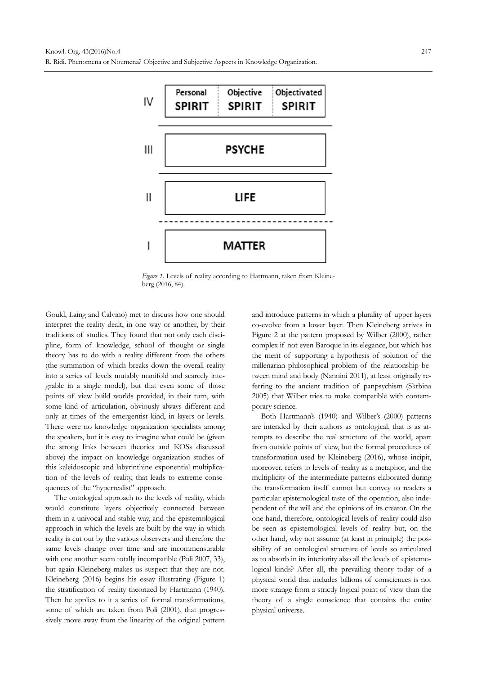

*Figure 1*. Levels of reality according to Hartmann, taken from Kleineberg (2016, 84).

Gould, Laing and Calvino) met to discuss how one should interpret the reality dealt, in one way or another, by their traditions of studies. They found that not only each discipline, form of knowledge, school of thought or single theory has to do with a reality different from the others (the summation of which breaks down the overall reality into a series of levels mutably manifold and scarcely integrable in a single model), but that even some of those points of view build worlds provided, in their turn, with some kind of articulation, obviously always different and only at times of the emergentist kind, in layers or levels. There were no knowledge organization specialists among the speakers, but it is easy to imagine what could be (given the strong links between theories and KOSs discussed above) the impact on knowledge organization studies of this kaleidoscopic and labyrinthine exponential multiplication of the levels of reality, that leads to extreme consequences of the "hyperrealist" approach.

The ontological approach to the levels of reality, which would constitute layers objectively connected between them in a univocal and stable way, and the epistemological approach in which the levels are built by the way in which reality is cut out by the various observers and therefore the same levels change over time and are incommensurable with one another seem totally incompatible (Poli 2007, 33), but again Kleineberg makes us suspect that they are not. Kleineberg (2016) begins his essay illustrating (Figure 1) the stratification of reality theorized by Hartmann (1940). Then he applies to it a series of formal transformations, some of which are taken from Poli (2001), that progressively move away from the linearity of the original pattern

and introduce patterns in which a plurality of upper layers co-evolve from a lower layer. Then Kleineberg arrives in Figure 2 at the pattern proposed by Wilber (2000), rather complex if not even Baroque in its elegance, but which has the merit of supporting a hypothesis of solution of the millenarian philosophical problem of the relationship between mind and body (Nannini 2011), at least originally referring to the ancient tradition of panpsychism (Skrbina 2005) that Wilber tries to make compatible with contemporary science.

Both Hartmann's (1940) and Wilber's (2000) patterns are intended by their authors as ontological, that is as attempts to describe the real structure of the world, apart from outside points of view, but the formal procedures of transformation used by Kleineberg (2016), whose incipit, moreover, refers to levels of reality as a metaphor, and the multiplicity of the intermediate patterns elaborated during the transformation itself cannot but convey to readers a particular epistemological taste of the operation, also independent of the will and the opinions of its creator. On the one hand, therefore, ontological levels of reality could also be seen as epistemological levels of reality but, on the other hand, why not assume (at least in principle) the possibility of an ontological structure of levels so articulated as to absorb in its interiority also all the levels of epistemological kinds? After all, the prevailing theory today of a physical world that includes billions of consciences is not more strange from a strictly logical point of view than the theory of a single conscience that contains the entire physical universe.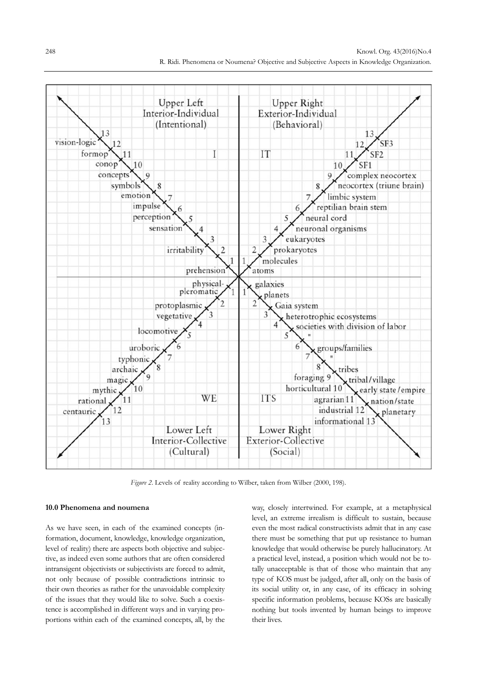

*Figure 2*. Levels of reality according to Wilber, taken from Wilber (2000, 198).

## **10.0 Phenomena and noumena**

As we have seen, in each of the examined concepts (information, document, knowledge, knowledge organization, level of reality) there are aspects both objective and subjective, as indeed even some authors that are often considered intransigent objectivists or subjectivists are forced to admit, not only because of possible contradictions intrinsic to their own theories as rather for the unavoidable complexity of the issues that they would like to solve. Such a coexistence is accomplished in different ways and in varying proportions within each of the examined concepts, all, by the way, closely intertwined. For example, at a metaphysical level, an extreme irrealism is difficult to sustain, because even the most radical constructivists admit that in any case there must be something that put up resistance to human knowledge that would otherwise be purely hallucinatory. At a practical level, instead, a position which would not be totally unacceptable is that of those who maintain that any type of KOS must be judged, after all, only on the basis of its social utility or, in any case, of its efficacy in solving specific information problems, because KOSs are basically nothing but tools invented by human beings to improve their lives.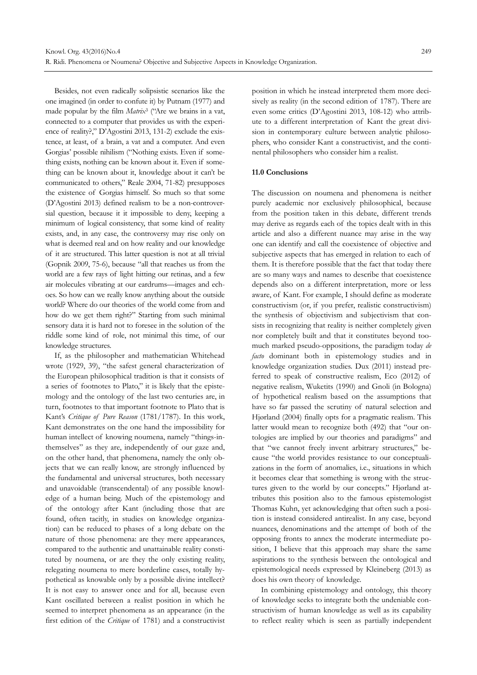Besides, not even radically solipsistic scenarios like the one imagined (in order to confute it) by Putnam (1977) and made popular by the film *Matrix*3 ("Are we brains in a vat, connected to a computer that provides us with the experience of reality?," D'Agostini 2013, 131-2) exclude the existence, at least, of a brain, a vat and a computer. And even Gorgias' possible nihilism ("Nothing exists. Even if something exists, nothing can be known about it. Even if something can be known about it, knowledge about it can't be communicated to others," Reale 2004, 71-82) presupposes the existence of Gorgias himself. So much so that some (D'Agostini 2013) defined realism to be a non-controversial question, because it it impossible to deny, keeping a minimum of logical consistency, that some kind of reality exists, and, in any case, the controversy may rise only on what is deemed real and on how reality and our knowledge of it are structured. This latter question is not at all trivial (Gopnik 2009, 75-6), because "all that reaches us from the world are a few rays of light hitting our retinas, and a few air molecules vibrating at our eardrums—images and echoes. So how can we really know anything about the outside world? Where do our theories of the world come from and how do we get them right?" Starting from such minimal sensory data it is hard not to foresee in the solution of the riddle some kind of role, not minimal this time, of our knowledge structures.

If, as the philosopher and mathematician Whitehead wrote (1929, 39), "the safest general characterization of the European philosophical tradition is that it consists of a series of footnotes to Plato," it is likely that the epistemology and the ontology of the last two centuries are, in turn, footnotes to that important footnote to Plato that is Kant's *Critique of Pure Reason* (1781/1787). In this work, Kant demonstrates on the one hand the impossibility for human intellect of knowing noumena, namely "things-inthemselves" as they are, independently of our gaze and, on the other hand, that phenomena, namely the only objects that we can really know, are strongly influenced by the fundamental and universal structures, both necessary and unavoidable (transcendental) of any possible knowledge of a human being. Much of the epistemology and of the ontology after Kant (including those that are found, often tacitly, in studies on knowledge organization) can be reduced to phases of a long debate on the nature of those phenomena: are they mere appearances, compared to the authentic and unattainable reality constituted by noumena, or are they the only existing reality, relegating noumena to mere borderline cases, totally hypothetical as knowable only by a possible divine intellect? It is not easy to answer once and for all, because even Kant oscillated between a realist position in which he seemed to interpret phenomena as an appearance (in the first edition of the *Critique* of 1781) and a constructivist

position in which he instead interpreted them more decisively as reality (in the second edition of 1787). There are even some critics (D'Agostini 2013, 108-12) who attribute to a different interpretation of Kant the great division in contemporary culture between analytic philosophers, who consider Kant a constructivist, and the continental philosophers who consider him a realist.

# **11.0 Conclusions**

The discussion on noumena and phenomena is neither purely academic nor exclusively philosophical, because from the position taken in this debate, different trends may derive as regards each of the topics dealt with in this article and also a different nuance may arise in the way one can identify and call the coexistence of objective and subjective aspects that has emerged in relation to each of them. It is therefore possible that the fact that today there are so many ways and names to describe that coexistence depends also on a different interpretation, more or less aware, of Kant. For example, I should define as moderate constructivism (or, if you prefer, realistic constructivism) the synthesis of objectivism and subjectivism that consists in recognizing that reality is neither completely given nor completely built and that it constitutes beyond toomuch marked pseudo-oppositions, the paradigm today *de facto* dominant both in epistemology studies and in knowledge organization studies. Dux (2011) instead preferred to speak of constructive realism, Eco (2012) of negative realism, Wuketits (1990) and Gnoli (in Bologna) of hypothetical realism based on the assumptions that have so far passed the scrutiny of natural selection and Hjørland (2004) finally opts for a pragmatic realism. This latter would mean to recognize both (492) that "our ontologies are implied by our theories and paradigms" and that "we cannot freely invent arbitrary structures," because "the world provides resistance to our conceptualizations in the form of anomalies, i.e., situations in which it becomes clear that something is wrong with the structures given to the world by our concepts." Hjørland attributes this position also to the famous epistemologist Thomas Kuhn, yet acknowledging that often such a position is instead considered antirealist. In any case, beyond nuances, denominations and the attempt of both of the opposing fronts to annex the moderate intermediate position, I believe that this approach may share the same aspirations to the synthesis between the ontological and epistemological needs expressed by Kleineberg (2013) as does his own theory of knowledge.

In combining epistemology and ontology, this theory of knowledge seeks to integrate both the undeniable constructivism of human knowledge as well as its capability to reflect reality which is seen as partially independent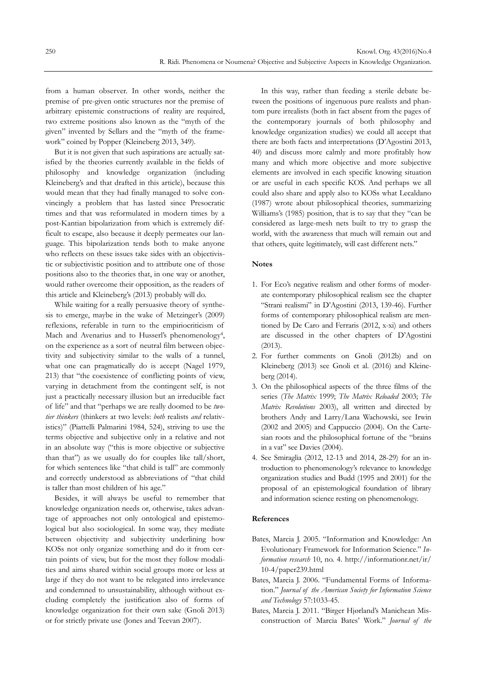from a human observer. In other words, neither the premise of pre-given ontic structures nor the premise of arbitrary epistemic constructions of reality are required, two extreme positions also known as the "myth of the given" invented by Sellars and the "myth of the framework" coined by Popper (Kleineberg 2013, 349).

But it is not given that such aspirations are actually satisfied by the theories currently available in the fields of philosophy and knowledge organization (including Kleineberg's and that drafted in this article), because this would mean that they had finally managed to solve convincingly a problem that has lasted since Presocratic times and that was reformulated in modern times by a post-Kantian bipolarization from which is extremely difficult to escape, also because it deeply permeates our language. This bipolarization tends both to make anyone who reflects on these issues take sides with an objectivistic or subjectivistic position and to attribute one of those positions also to the theories that, in one way or another, would rather overcome their opposition, as the readers of this article and Kleineberg's (2013) probably will do.

While waiting for a really persuasive theory of synthesis to emerge, maybe in the wake of Metzinger's (2009) reflexions, referable in turn to the empiriocriticism of Mach and Avenarius and to Husserl's phenomenology<sup>4</sup>, on the experience as a sort of neutral film between objectivity and subjectivity similar to the walls of a tunnel, what one can pragmatically do is accept (Nagel 1979, 213) that "the coexistence of conflicting points of view, varying in detachment from the contingent self, is not just a practically necessary illusion but an irreducible fact of life" and that "perhaps we are really doomed to be *twotier thinkers* (thinkers at two levels: *both* realists *and* relativistics)" (Piattelli Palmarini 1984, 524), striving to use the terms objective and subjective only in a relative and not in an absolute way ("this is more objective or subjective than that") as we usually do for couples like tall/short, for which sentences like "that child is tall" are commonly and correctly understood as abbreviations of "that child is taller than most children of his age."

Besides, it will always be useful to remember that knowledge organization needs or, otherwise, takes advantage of approaches not only ontological and epistemological but also sociological. In some way, they mediate between objectivity and subjectivity underlining how KOSs not only organize something and do it from certain points of view, but for the most they follow modalities and aims shared within social groups more or less at large if they do not want to be relegated into irrelevance and condemned to unsustainability, although without excluding completely the justification also of forms of knowledge organization for their own sake (Gnoli 2013) or for strictly private use (Jones and Teevan 2007).

In this way, rather than feeding a sterile debate between the positions of ingenuous pure realists and phantom pure irrealists (both in fact absent from the pages of the contemporary journals of both philosophy and knowledge organization studies) we could all accept that there are both facts and interpretations (D'Agostini 2013, 40) and discuss more calmly and more profitably how many and which more objective and more subjective elements are involved in each specific knowing situation or are useful in each specific KOS. And perhaps we all could also share and apply also to KOSs what Lecaldano (1987) wrote about philosophical theories, summarizing Williams's (1985) position, that is to say that they "can be considered as large-mesh nets built to try to grasp the world, with the awareness that much will remain out and that others, quite legitimately, will cast different nets."

# **Notes**

- 1. For Eco's negative realism and other forms of moderate contemporary philosophical realism see the chapter "Strani realismi" in D'Agostini (2013, 139-46). Further forms of contemporary philosophical realism are mentioned by De Caro and Ferraris (2012, x-xi) and others are discussed in the other chapters of D'Agostini (2013).
- 2. For further comments on Gnoli (2012b) and on Kleineberg (2013) see Gnoli et al. (2016) and Kleineberg (2014).
- 3. On the philosophical aspects of the three films of the series (*The Matrix* 1999; *The Matrix Reloaded* 2003; *The Matrix Revolutions* 2003), all written and directed by brothers Andy and Larry/Lana Wachowski, see Irwin (2002 and 2005) and Cappuccio (2004). On the Cartesian roots and the philosophical fortune of the "brains in a vat" see Davies (2004).
- 4. See Smiraglia (2012, 12-13 and 2014, 28-29) for an introduction to phenomenology's relevance to knowledge organization studies and Budd (1995 and 2001) for the proposal of an epistemological foundation of library and information science resting on phenomenology.

#### **References**

- Bates, Marcia J. 2005. "Information and Knowledge: An Evolutionary Framework for Information Science." *Information research* 10, no. 4. http://informationr.net/ir/ 10-4/paper239.html
- Bates, Marcia J. 2006. "Fundamental Forms of Information." *Journal of the American Society for Information Science and Technology* 57:1033-45.
- Bates, Marcia J. 2011. "Birger Hjørland's Manichean Misconstruction of Marcia Bates' Work." *Journal of the*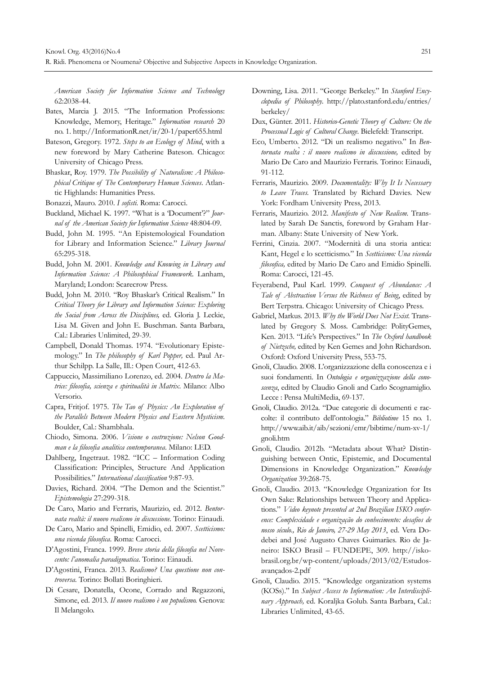*American Society for Information Science and Technology* 62:2038-44.

- Bates, Marcia J. 2015. "The Information Professions: Knowledge, Memory, Heritage." *Information research* 20 no. 1. http://InformationR.net/ir/20-1/paper655.html
- Bateson, Gregory. 1972. *Steps to an Ecology of Mind*, with a new foreword by Mary Catherine Bateson. Chicago: University of Chicago Press.
- Bhaskar, Roy. 1979*. The Possibility of Naturalism: A Philosophical Critique of The Contemporary Human Sciences*. Atlantic Highlands: Humanities Press.
- Bonazzi, Mauro. 2010. *I sofisti*. Roma: Carocci.
- Buckland, Michael K. 1997. "What is a 'Document'?" *Journal of the American Society for Information Science* 48:804-09.
- Budd, John M. 1995. "An Epistemological Foundation for Library and Information Science." *Library Journal* 65:295-318.
- Budd, John M. 2001. *Knowledge and Knowing in Library and Information Science: A Philosophical Framework.* Lanham, Maryland; London: Scarecrow Press.
- Budd, John M. 2010. "Roy Bhaskar's Critical Realism." In *Critical Theory for Library and Information Science: Exploring the Social from Across the Disciplines,* ed. Gloria J. Leckie, Lisa M. Given and John E. Buschman. Santa Barbara, Cal.: Libraries Unlimited, 29-39.
- Campbell, Donald Thomas. 1974. "Evolutionary Epistemology." In *The philosophy of Karl Popper,* ed. Paul Arthur Schilpp. La Salle, Ill.: Open Court, 412-63.
- Cappuccio, Massimiliano Lorenzo, ed. 2004. *Dentro la Matrice: filosofia, scienza e spiritualità in Matrix*. Milano: Albo Versorio.
- Capra, Fritjof. 1975. *The Tao of Physics: An Exploration of the Parallels Between Modern Physics and Eastern Mysticism*. Boulder, Cal.: Shambhala.
- Chiodo, Simona. 2006. *Visione o costruzione: Nelson Goodman e la filosofia analitica contemporanea*. Milano: LED.
- Dahlberg, Ingetraut. 1982. "ICC Information Coding Classification: Principles, Structure And Application Possibilities." *International classification* 9:87-93.
- Davies, Richard. 2004. "The Demon and the Scientist." *Epistemologia* 27:299-318.
- De Caro, Mario and Ferraris, Maurizio, ed. 2012. *Bentornata realtà: il nuovo realismo in discussione*. Torino: Einaudi.
- De Caro, Mario and Spinelli, Emidio, ed. 2007. *Scetticismo: una vicenda filosofica*. Roma: Carocci.
- D'Agostini, Franca. 1999. *Breve storia della filosofia nel Novecento: l'anomalia paradigmatica*. Torino: Einaudi.
- D'Agostini, Franca. 2013. *Realismo? Una questione non controversa*. Torino: Bollati Boringhieri.
- Di Cesare, Donatella, Ocone, Corrado and Regazzoni, Simone, ed. 2013. *Il nuovo realismo è un populismo.* Genova: Il Melangolo.
- Downing, Lisa. 2011. "George Berkeley." In *Stanford Encyclopedia of Philosophy*. http://plato.stanford.edu/entries/ berkeley/
- Dux, Günter. 2011. *Historico-Genetic Theory of Culture: On the Processual Logic of Cultural Change*. Bielefeld: Transcript.
- Eco, Umberto. 2012. "Di un realismo negativo." In *Bentornata realtà : il nuovo realismo in discussione,* edited by Mario De Caro and Maurizio Ferraris. Torino: Einaudi, 91-112.
- Ferraris, Maurizio. 2009. *Documentality: Why It Is Necessary to Leave Traces.* Translated by Richard Davies. New York: Fordham University Press, 2013.
- Ferraris, Maurizio. 2012. *Manifesto of New Realism.* Translated by Sarah De Sanctis, foreword by Graham Harman. Albany: State University of New York.
- Ferrini, Cinzia. 2007. "Modernità di una storia antica: Kant, Hegel e lo scetticismo." In *Scetticismo: Una vicenda filosofica,* edited by Mario De Caro and Emidio Spinelli. Roma: Carocci, 121-45.
- Feyerabend, Paul Karl. 1999. *Conquest of Abundance: A Tale of Abstraction Versus the Richness of Being*, edited by Bert Terpstra. Chicago: University of Chicago Press.
- Gabriel, Markus. 2013. *Why the World Does Not Exist.* Translated by Gregory S. Moss. Cambridge: PolityGemes, Ken. 2013. "Life's Perspectives." In *The Oxford handbook of Nietzsche,* edited by Ken Gemes and John Richardson. Oxford: Oxford University Press, 553-75.
- Gnoli, Claudio. 2008. L'organizzazione della conoscenza e i suoi fondamenti. In *Ontologia e organizzazione della conoscenza*, edited by Claudio Gnoli and Carlo Scognamiglio. Lecce : Pensa MultiMedia, 69-137.
- Gnoli, Claudio. 2012a. "Due categorie di documenti e raccolte: il contributo dell'ontologia." *Bibliotime* 15 no. 1. http://www.aib.it/aib/sezioni/emr/bibtime/num-xv-1/ gnoli.htm
- Gnoli, Claudio. 2012b. "Metadata about What? Distinguishing between Ontic, Epistemic, and Documental Dimensions in Knowledge Organization." *Knowledge Organization* 39:268-75.
- Gnoli, Claudio. 2013. "Knowledge Organization for Its Own Sake: Relationships between Theory and Applications." *Video keynote presented at 2nd Brazilian ISKO conference: Complexidade e organização do conhecimento: desafios de nosso século*.*, Rio de Janeiro, 27-29 May 2013*, ed. Vera Dodebei and José Augusto Chaves Guimarães. Rio de Janeiro: ISKO Brasil – FUNDEPE, 309. http://iskobrasil.org.br/wp-content/uploads/2013/02/Estudos avançados-2.pdf
- Gnoli, Claudio. 2015. "Knowledge organization systems (KOSs)." In *Subject Access to Information: An Interdisciplinary Approach,* ed. Koraljka Golub. Santa Barbara, Cal.: Libraries Unlimited, 43-65.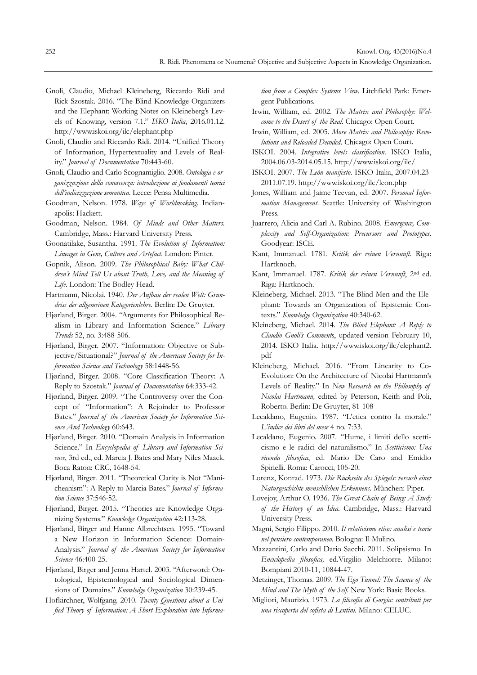- Gnoli, Claudio, Michael Kleineberg, Riccardo Ridi and Rick Szostak. 2016. "The Blind Knowledge Organizers and the Elephant: Working Notes on Kleineberg's Levels of Knowing, version 7.1." *ISKO Italia*, 2016.01.12. http://www.iskoi.org/ilc/elephant.php
- Gnoli, Claudio and Riccardo Ridi. 2014. "Unified Theory of Information, Hypertextuality and Levels of Reality." *Journal of Documentation* 70:443-60.
- Gnoli, Claudio and Carlo Scognamiglio. 2008. *Ontologia e organizzazione della conoscenza: introduzione ai fondamenti teorici dell'indicizzazione semantica*. Lecce: Pensa Multimedia.
- Goodman, Nelson. 1978. *Ways of Worldmaking*. Indianapolis: Hackett.
- Goodman, Nelson. 1984. *Of Minds and Other Matters*. Cambridge, Mass.: Harvard University Press.
- Goonatilake, Susantha. 1991. *The Evolution of Information: Lineages in Gene, Culture and Artefact*. London: Pinter.
- Gopnik, Alison. 2009. *The Philosophical Baby: What Children's Mind Tell Us about Truth, Love, and the Meaning of Life*. London: The Bodley Head.
- Hartmann, Nicolai. 1940. *Der Aufbau der realen Welt: Grundriss der allgemeinen Kategorienlehre*. Berlin: De Gruyter.
- Hjørland, Birger. 2004. "Arguments for Philosophical Realism in Library and Information Science." *Library Trends* 52, no. 3:488-506.
- Hjørland, Birger. 2007. "Information: Objective or Subjective/Situational?" *Journal of the American Society for Information Science and Technology* 58:1448-56.
- Hjørland, Birger. 2008. "Core Classification Theory: A Reply to Szostak." *Journal of Documentation* 64:333-42.
- Hjørland, Birger. 2009. "The Controversy over the Concept of "Information": A Rejoinder to Professor Bates." *Journal of the American Society for Information Science And Technology* 60:643.
- Hjørland, Birger. 2010. "Domain Analysis in Information Science." In *Encyclopedia of Library and Information Science*, 3rd ed., ed. Marcia J. Bates and Mary Niles Maack. Boca Raton: CRC, 1648-54.
- Hjørland, Birger. 2011. "Theoretical Clarity is Not "Manicheanism": A Reply to Marcia Bates." *Journal of Information Science* 37:546-52.
- Hjørland, Birger. 2015. "Theories are Knowledge Organizing Systems." *Knowledge Organization* 42:113-28.
- Hjørland, Birger and Hanne Albrechtsen. 1995. "Toward a New Horizon in Information Science: Domain-Analysis." *Journal of the American Society for Information Science* 46:400-25.
- Hjørland, Birger and Jenna Hartel. 2003. "Afterword: Ontological, Epistemological and Sociological Dimensions of Domains." *Knowledge Organization* 30:239-45.
- Hofkirchner, Wolfgang. 2010. *Twenty Questions about a Unified Theory of Information: A Short Exploration into Informa-*

*tion from a Complex Systems View*. Litchfield Park: Emergent Publications.

- Irwin, William, ed. 2002. *The Matrix and Philosophy: Welcome to the Desert of the Real*. Chicago: Open Court.
- Irwin, William, ed. 2005. *More Matrix and Philosophy: Revolutions and Reloaded Decoded*. Chicago: Open Court.
- ISKOI. 2004. *Integrative levels classification*. ISKO Italia, 2004.06.03-2014.05.15. http://www.iskoi.org/ilc/
- ISKOI. 2007. *The León manifesto*. ISKO Italia, 2007.04.23- 2011.07.19. http://www.iskoi.org/ilc/leon.php
- Jones, William and Jaime Teevan, ed. 2007. *Personal Information Management*. Seattle: University of Washington Press.
- Juarrero, Alicia and Carl A. Rubino. 2008. *Emergence, Complexity and Self-Organization: Precursors and Prototypes*. Goodyear: ISCE.
- Kant, Immanuel. 1781. *Kritik der reinen Vernunft*. Riga: Hartknoch.
- Kant, Immanuel. 1787. *Kritik der reinen Vernunft*, 2nd ed. Riga: Hartknoch.
- Kleineberg, Michael. 2013. "The Blind Men and the Elephant: Towards an Organization of Epistemic Contexts." *Knowledge Organization* 40:340-62.
- Kleineberg, Michael. 2014. *The Blind Elephant: A Reply to Claudio Gnoli's Comment*s, updated version February 10, 2014. ISKO Italia. http://www.iskoi.org/ilc/elephant2. pdf
- Kleineberg, Michael. 2016. "From Linearity to Co-Evolution: On the Architecture of Nicolai Hartmann's Levels of Reality." In *New Research on the Philosophy of Nicolai Hartmann,* edited by Peterson, Keith and Poli, Roberto. Berlin: De Gruyter, 81-108
- Lecaldano, Eugenio. 1987. "L'etica contro la morale." *L'indice dei libri del mese* 4 no. 7:33.
- Lecaldano, Eugenio. 2007. "Hume, i limiti dello scetticismo e le radici del naturalismo." In *Scetticismo: Una vicenda filosofica*, ed. Mario De Caro and Emidio Spinelli. Roma: Carocci, 105-20.
- Lorenz, Konrad. 1973. *Die Rückseite des Spiegels: versuch einer Naturgeschichte menschlichen Erkennens*. München: Piper.
- Lovejoy, Arthur O. 1936. *The Great Chain of Being: A Study of the History of an Idea.* Cambridge, Mass.: Harvard University Press.
- Magni, Sergio Filippo. 2010. *Il relativismo etico: analisi e teorie nel pensiero contemporaneo*. Bologna: Il Mulino.
- Mazzantini, Carlo and Dario Sacchi. 2011. Solipsismo. In *Enciclopedia filosofica,* ed.Virgilio Melchiorre. Milano: Bompiani 2010-11, 10844-47.
- Metzinger, Thomas. 2009. *The Ego Tunnel: The Science of the Mind and The Myth of the Self*. New York: Basic Books.
- Migliori, Maurizio. 1973. *La filosofia di Gorgia: contributi per una riscoperta del sofista di Lentini*. Milano: CELUC.